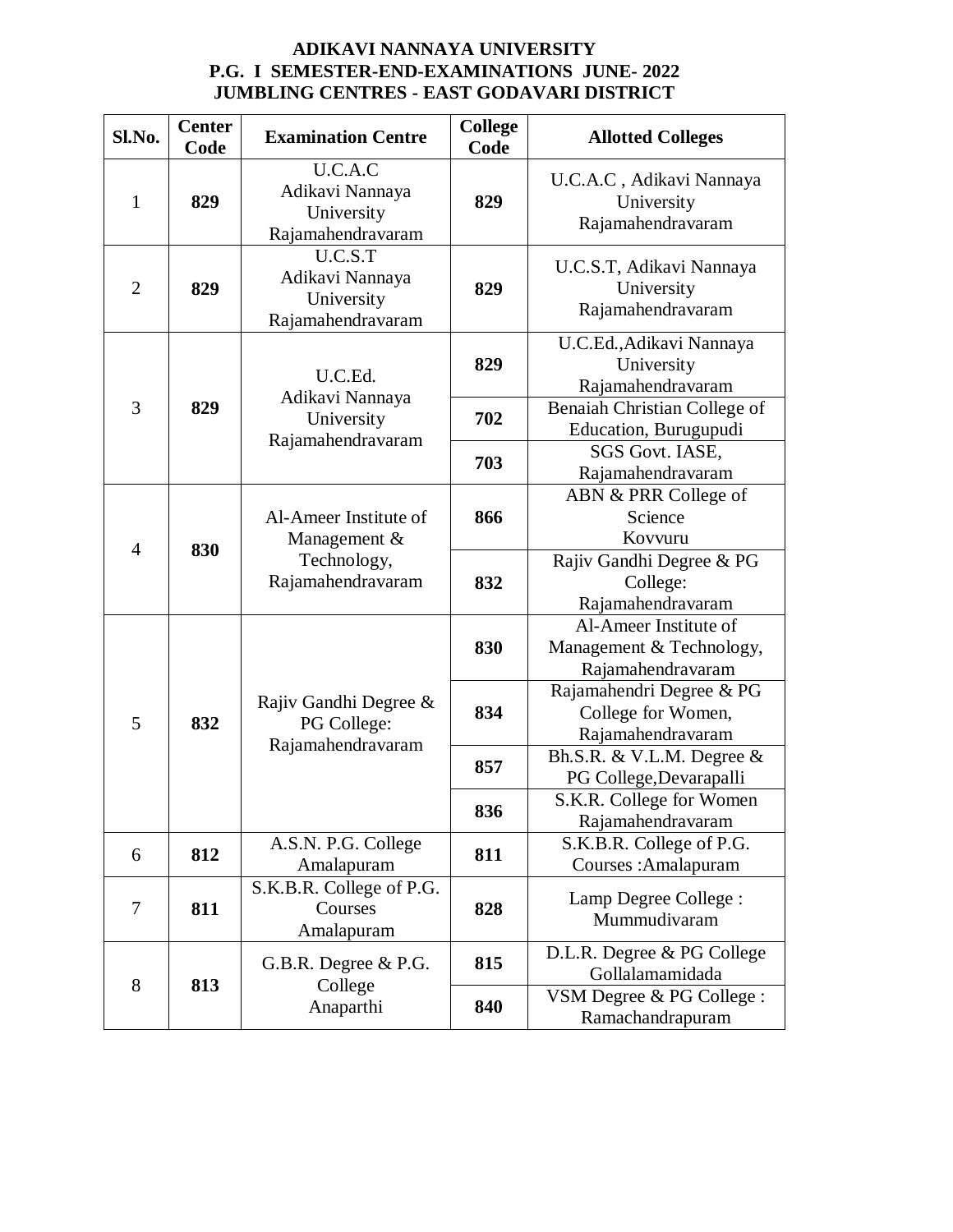## **ADIKAVI NANNAYA UNIVERSITY P.G. I SEMESTER-END-EXAMINATIONS JUNE- 2022 JUMBLING CENTRES - EAST GODAVARI DISTRICT**

| Sl.No.         | <b>Center</b><br>Code | <b>Examination Centre</b>                                                 | <b>College</b><br>Code | <b>Allotted Colleges</b>                                               |
|----------------|-----------------------|---------------------------------------------------------------------------|------------------------|------------------------------------------------------------------------|
| $\mathbf{1}$   | 829                   | U.C.A.C<br>Adikavi Nannaya<br>University<br>Rajamahendravaram             | 829                    | U.C.A.C, Adikavi Nannaya<br>University<br>Rajamahendravaram            |
| $\overline{2}$ | 829                   | U.C.S.T<br>Adikavi Nannaya<br>University<br>Rajamahendravaram             | 829                    | U.C.S.T, Adikavi Nannaya<br>University<br>Rajamahendravaram            |
| 3              | 829                   | U.C.Ed.<br>Adikavi Nannaya<br>University<br>Rajamahendravaram             | 829                    | U.C.Ed., Adikavi Nannaya<br>University<br>Rajamahendravaram            |
|                |                       |                                                                           | 702                    | Benaiah Christian College of<br>Education, Burugupudi                  |
|                |                       |                                                                           | 703                    | SGS Govt. IASE,<br>Rajamahendravaram                                   |
| $\overline{4}$ | 830                   | Al-Ameer Institute of<br>Management &<br>Technology,<br>Rajamahendravaram | 866                    | ABN & PRR College of<br>Science<br>Kovvuru                             |
|                |                       |                                                                           | 832                    | Rajiv Gandhi Degree & PG<br>College:<br>Rajamahendravaram              |
| 5              | 832                   | Rajiv Gandhi Degree &<br>PG College:<br>Rajamahendravaram                 | 830                    | Al-Ameer Institute of<br>Management & Technology,<br>Rajamahendravaram |
|                |                       |                                                                           | 834                    | Rajamahendri Degree & PG<br>College for Women,<br>Rajamahendravaram    |
|                |                       |                                                                           | 857                    | Bh.S.R. & V.L.M. Degree &<br>PG College, Devarapalli                   |
|                |                       |                                                                           | 836                    | S.K.R. College for Women<br>Rajamahendravaram                          |
| 6              | 812                   | A.S.N. P.G. College<br>Amalapuram                                         | 811                    | S.K.B.R. College of P.G.<br>Courses: Amalapuram                        |
| $\tau$         | 811                   | S.K.B.R. College of P.G.<br>Courses<br>Amalapuram                         | 828                    | Lamp Degree College :<br>Mummudivaram                                  |
| 8              | 813                   | G.B.R. Degree & P.G.<br>College<br>Anaparthi                              | 815                    | D.L.R. Degree & PG College<br>Gollalamamidada                          |
|                |                       |                                                                           | 840                    | VSM Degree & PG College :<br>Ramachandrapuram                          |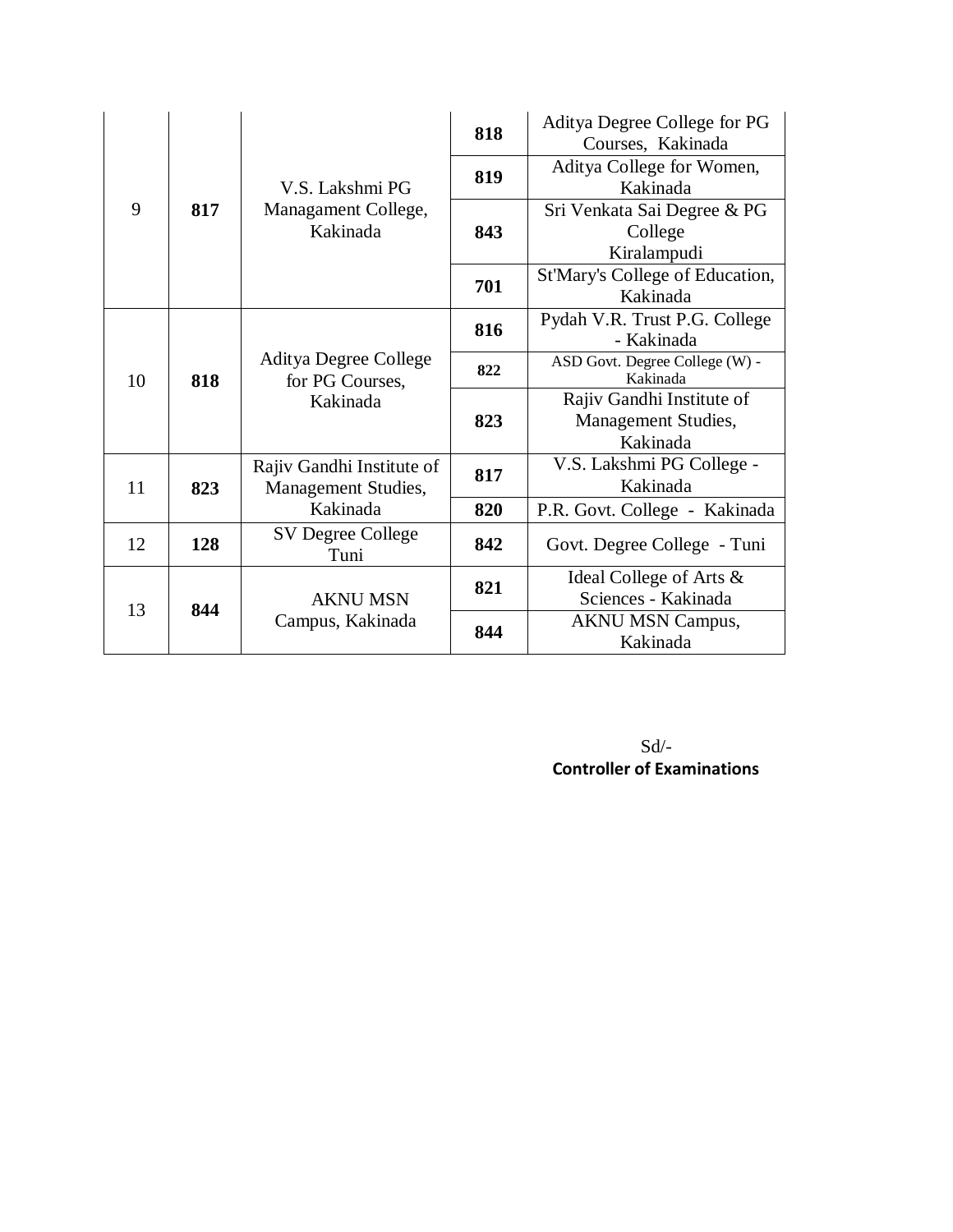| 9  | 817 | V.S. Lakshmi PG<br>Managament College,<br>Kakinada | 818 | Aditya Degree College for PG<br>Courses, Kakinada            |
|----|-----|----------------------------------------------------|-----|--------------------------------------------------------------|
|    |     |                                                    | 819 | Aditya College for Women,<br>Kakinada                        |
|    |     |                                                    | 843 | Sri Venkata Sai Degree & PG<br>College                       |
|    |     |                                                    |     | Kiralampudi                                                  |
|    |     |                                                    | 701 | St'Mary's College of Education,<br>Kakinada                  |
| 10 | 818 | Aditya Degree College<br>for PG Courses,           | 816 | Pydah V.R. Trust P.G. College<br>- Kakinada                  |
|    |     |                                                    | 822 | ASD Govt. Degree College (W) -<br>Kakinada                   |
|    |     | Kakinada                                           | 823 | Rajiv Gandhi Institute of<br>Management Studies,<br>Kakinada |
| 11 | 823 | Rajiv Gandhi Institute of<br>Management Studies,   | 817 | V.S. Lakshmi PG College -<br>Kakinada                        |
|    |     | Kakinada                                           | 820 | P.R. Govt. College - Kakinada                                |
| 12 | 128 | SV Degree College<br>Tuni                          | 842 | Govt. Degree College - Tuni                                  |
| 13 | 844 | <b>AKNU MSN</b><br>Campus, Kakinada                | 821 | Ideal College of Arts &<br>Sciences - Kakinada               |
|    |     |                                                    | 844 | <b>AKNU MSN Campus,</b><br>Kakinada                          |

Sd/- **Controller of Examinations**